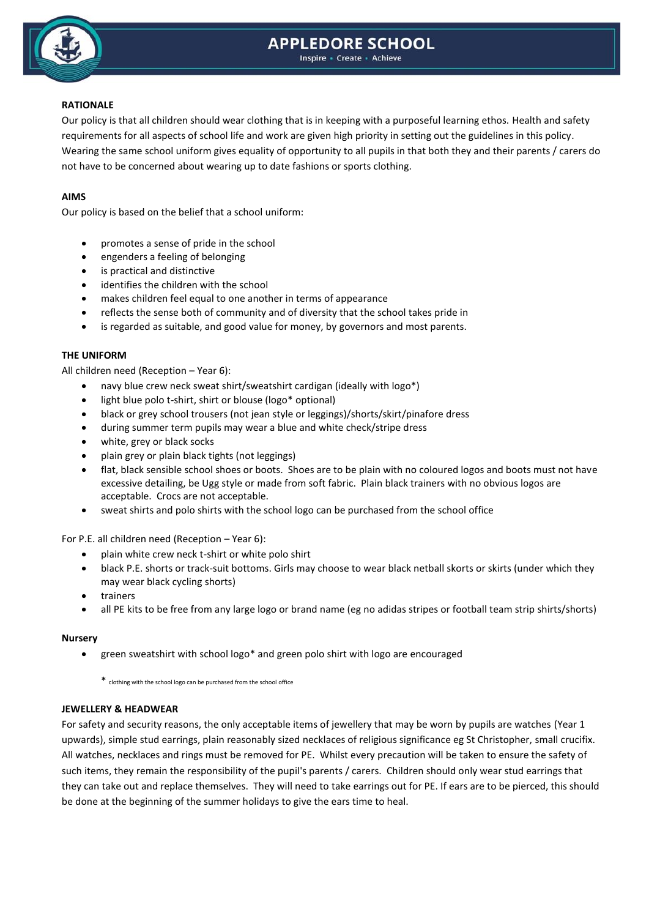# **APPLEDORE SCHOOL**



#### Inspire - Create - Achieve

# **RATIONALE**

Our policy is that all children should wear clothing that is in keeping with a purposeful learning ethos. Health and safety requirements for all aspects of school life and work are given high priority in setting out the guidelines in this policy. Wearing the same school uniform gives equality of opportunity to all pupils in that both they and their parents / carers do not have to be concerned about wearing up to date fashions or sports clothing.

# **AIMS**

Our policy is based on the belief that a school uniform:

- promotes a sense of pride in the school
- engenders a feeling of belonging
- is practical and distinctive
- identifies the children with the school
- makes children feel equal to one another in terms of appearance
- reflects the sense both of community and of diversity that the school takes pride in
- is regarded as suitable, and good value for money, by governors and most parents.

## **THE UNIFORM**

All children need (Reception – Year 6):

- navy blue crew neck sweat shirt/sweatshirt cardigan (ideally with logo\*)
- light blue polo t-shirt, shirt or blouse (logo\* optional)
- black or grey school trousers (not jean style or leggings)/shorts/skirt/pinafore dress
- during summer term pupils may wear a blue and white check/stripe dress
- white, grey or black socks
- plain grey or plain black tights (not leggings)
- flat, black sensible school shoes or boots. Shoes are to be plain with no coloured logos and boots must not have excessive detailing, be Ugg style or made from soft fabric. Plain black trainers with no obvious logos are acceptable. Crocs are not acceptable.
- sweat shirts and polo shirts with the school logo can be purchased from the school office

For P.E. all children need (Reception – Year 6):

- plain white crew neck t-shirt or white polo shirt
- black P.E. shorts or track-suit bottoms. Girls may choose to wear black netball skorts or skirts (under which they may wear black cycling shorts)
- trainers
- all PE kits to be free from any large logo or brand name (eg no adidas stripes or football team strip shirts/shorts)

## **Nursery**

green sweatshirt with school logo\* and green polo shirt with logo are encouraged

\* clothing with the school logo can be purchased from the school office

## **JEWELLERY & HEADWEAR**

For safety and security reasons, the only acceptable items of jewellery that may be worn by pupils are watches (Year 1 upwards), simple stud earrings, plain reasonably sized necklaces of religious significance eg St Christopher, small crucifix. All watches, necklaces and rings must be removed for PE. Whilst every precaution will be taken to ensure the safety of such items, they remain the responsibility of the pupil's parents / carers. Children should only wear stud earrings that they can take out and replace themselves. They will need to take earrings out for PE. If ears are to be pierced, this should be done at the beginning of the summer holidays to give the ears time to heal.